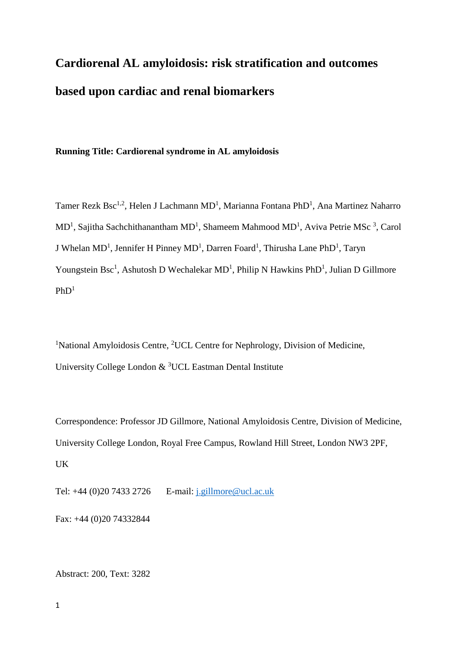# **Cardiorenal AL amyloidosis: risk stratification and outcomes based upon cardiac and renal biomarkers**

# **Running Title: Cardiorenal syndrome in AL amyloidosis**

Tamer Rezk Bsc<sup>1,2</sup>, Helen J Lachmann MD<sup>1</sup>, Marianna Fontana PhD<sup>1</sup>, Ana Martinez Naharro  $MD<sup>1</sup>$ , Sajitha Sachchithanantham  $MD<sup>1</sup>$ , Shameem Mahmood  $MD<sup>1</sup>$ , Aviva Petrie MSc<sup>3</sup>, Carol J Whelan MD<sup>1</sup>, Jennifer H Pinney MD<sup>1</sup>, Darren Foard<sup>1</sup>, Thirusha Lane PhD<sup>1</sup>, Taryn Youngstein Bsc<sup>1</sup>, Ashutosh D Wechalekar MD<sup>1</sup>, Philip N Hawkins PhD<sup>1</sup>, Julian D Gillmore  $PhD<sup>1</sup>$ 

<sup>1</sup>National Amyloidosis Centre, <sup>2</sup>UCL Centre for Nephrology, Division of Medicine, University College London & <sup>3</sup>UCL Eastman Dental Institute

Correspondence: Professor JD Gillmore, National Amyloidosis Centre, Division of Medicine, University College London, Royal Free Campus, Rowland Hill Street, London NW3 2PF, UK

Tel: +44 (0)20 7433 2726 E-mail: [j.gillmore@ucl.ac.uk](mailto:j.gillmore@ucl.ac.uk)

Fax: +44 (0)20 74332844

Abstract: 200, Text: 3282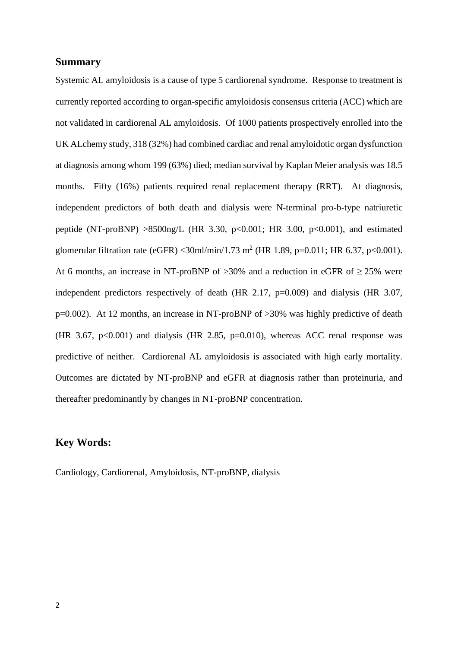## **Summary**

Systemic AL amyloidosis is a cause of type 5 cardiorenal syndrome. Response to treatment is currently reported according to organ-specific amyloidosis consensus criteria (ACC) which are not validated in cardiorenal AL amyloidosis. Of 1000 patients prospectively enrolled into the UK ALchemy study, 318 (32%) had combined cardiac and renal amyloidotic organ dysfunction at diagnosis among whom 199 (63%) died; median survival by Kaplan Meier analysis was 18.5 months. Fifty (16%) patients required renal replacement therapy (RRT). At diagnosis, independent predictors of both death and dialysis were N-terminal pro-b-type natriuretic peptide (NT-proBNP)  $>8500$ ng/L (HR 3.30, p<0.001; HR 3.00, p<0.001), and estimated glomerular filtration rate (eGFR) < 30ml/min/1.73 m<sup>2</sup> (HR 1.89, p=0.011; HR 6.37, p<0.001). At 6 months, an increase in NT-proBNP of  $>30\%$  and a reduction in eGFR of  $>25\%$  were independent predictors respectively of death (HR 2.17, p=0.009) and dialysis (HR 3.07, p=0.002). At 12 months, an increase in NT-proBNP of >30% was highly predictive of death (HR 3.67,  $p<0.001$ ) and dialysis (HR 2.85,  $p=0.010$ ), whereas ACC renal response was predictive of neither. Cardiorenal AL amyloidosis is associated with high early mortality. Outcomes are dictated by NT-proBNP and eGFR at diagnosis rather than proteinuria, and thereafter predominantly by changes in NT-proBNP concentration.

# **Key Words:**

Cardiology, Cardiorenal, Amyloidosis, NT-proBNP, dialysis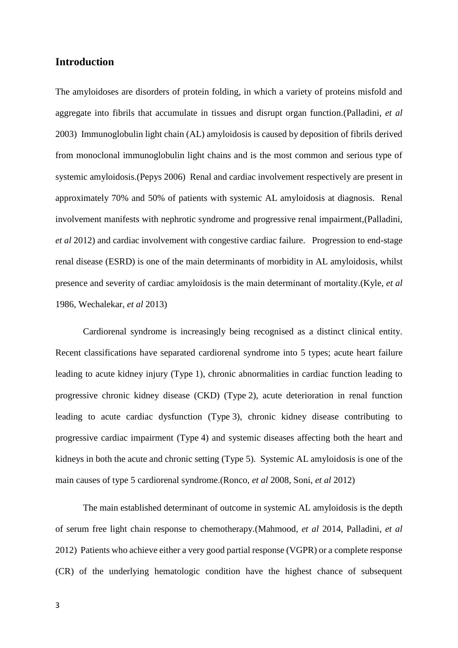## **Introduction**

The amyloidoses are disorders of protein folding, in which a variety of proteins misfold and aggregate into fibrils that accumulate in tissues and disrupt organ function.(Palladini*, et al* 2003) Immunoglobulin light chain (AL) amyloidosis is caused by deposition of fibrils derived from monoclonal immunoglobulin light chains and is the most common and serious type of systemic amyloidosis.(Pepys 2006) Renal and cardiac involvement respectively are present in approximately 70% and 50% of patients with systemic AL amyloidosis at diagnosis. Renal involvement manifests with nephrotic syndrome and progressive renal impairment,(Palladini*, et al* 2012) and cardiac involvement with congestive cardiac failure. Progression to end-stage renal disease (ESRD) is one of the main determinants of morbidity in AL amyloidosis, whilst presence and severity of cardiac amyloidosis is the main determinant of mortality.(Kyle*, et al* 1986, Wechalekar*, et al* 2013)

Cardiorenal syndrome is increasingly being recognised as a distinct clinical entity. Recent classifications have separated cardiorenal syndrome into 5 types; acute heart failure leading to acute kidney injury (Type 1), chronic abnormalities in cardiac function leading to progressive chronic kidney disease (CKD) (Type 2), acute deterioration in renal function leading to acute cardiac dysfunction (Type 3), chronic kidney disease contributing to progressive cardiac impairment (Type 4) and systemic diseases affecting both the heart and kidneys in both the acute and chronic setting (Type 5). Systemic AL amyloidosis is one of the main causes of type 5 cardiorenal syndrome.(Ronco*, et al* 2008, Soni*, et al* 2012)

The main established determinant of outcome in systemic AL amyloidosis is the depth of serum free light chain response to chemotherapy.(Mahmood*, et al* 2014, Palladini*, et al* 2012) Patients who achieve either a very good partial response (VGPR) or a complete response (CR) of the underlying hematologic condition have the highest chance of subsequent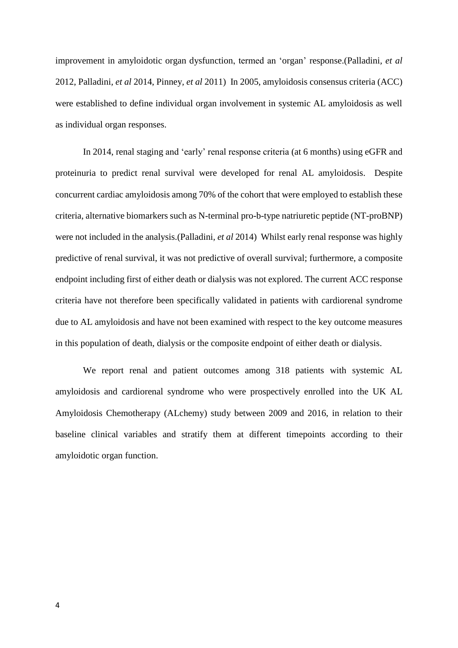improvement in amyloidotic organ dysfunction, termed an 'organ' response.(Palladini*, et al* 2012, Palladini*, et al* 2014, Pinney*, et al* 2011) In 2005, amyloidosis consensus criteria (ACC) were established to define individual organ involvement in systemic AL amyloidosis as well as individual organ responses.

In 2014, renal staging and 'early' renal response criteria (at 6 months) using eGFR and proteinuria to predict renal survival were developed for renal AL amyloidosis. Despite concurrent cardiac amyloidosis among 70% of the cohort that were employed to establish these criteria, alternative biomarkers such as N-terminal pro-b-type natriuretic peptide (NT-proBNP) were not included in the analysis.(Palladini*, et al* 2014) Whilst early renal response was highly predictive of renal survival, it was not predictive of overall survival; furthermore, a composite endpoint including first of either death or dialysis was not explored. The current ACC response criteria have not therefore been specifically validated in patients with cardiorenal syndrome due to AL amyloidosis and have not been examined with respect to the key outcome measures in this population of death, dialysis or the composite endpoint of either death or dialysis.

We report renal and patient outcomes among 318 patients with systemic AL amyloidosis and cardiorenal syndrome who were prospectively enrolled into the UK AL Amyloidosis Chemotherapy (ALchemy) study between 2009 and 2016, in relation to their baseline clinical variables and stratify them at different timepoints according to their amyloidotic organ function.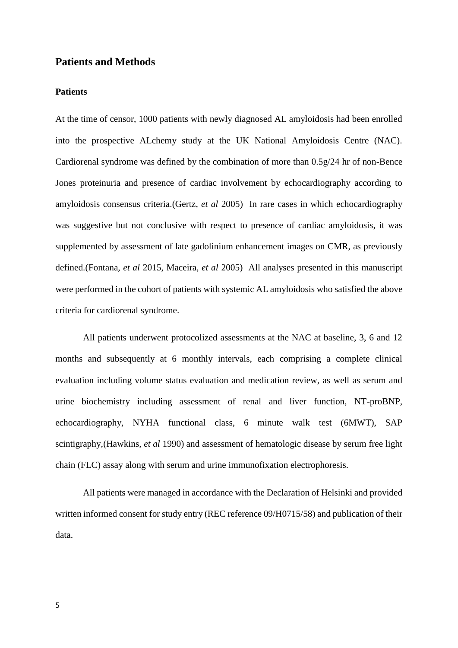# **Patients and Methods**

#### **Patients**

At the time of censor, 1000 patients with newly diagnosed AL amyloidosis had been enrolled into the prospective ALchemy study at the UK National Amyloidosis Centre (NAC). Cardiorenal syndrome was defined by the combination of more than 0.5g/24 hr of non-Bence Jones proteinuria and presence of cardiac involvement by echocardiography according to amyloidosis consensus criteria.(Gertz*, et al* 2005) In rare cases in which echocardiography was suggestive but not conclusive with respect to presence of cardiac amyloidosis, it was supplemented by assessment of late gadolinium enhancement images on CMR, as previously defined.(Fontana*, et al* 2015, Maceira*, et al* 2005) All analyses presented in this manuscript were performed in the cohort of patients with systemic AL amyloidosis who satisfied the above criteria for cardiorenal syndrome.

All patients underwent protocolized assessments at the NAC at baseline, 3, 6 and 12 months and subsequently at 6 monthly intervals, each comprising a complete clinical evaluation including volume status evaluation and medication review, as well as serum and urine biochemistry including assessment of renal and liver function, NT-proBNP, echocardiography, NYHA functional class, 6 minute walk test (6MWT), SAP scintigraphy,(Hawkins*, et al* 1990) and assessment of hematologic disease by serum free light chain (FLC) assay along with serum and urine immunofixation electrophoresis.

All patients were managed in accordance with the Declaration of Helsinki and provided written informed consent for study entry (REC reference 09/H0715/58) and publication of their data.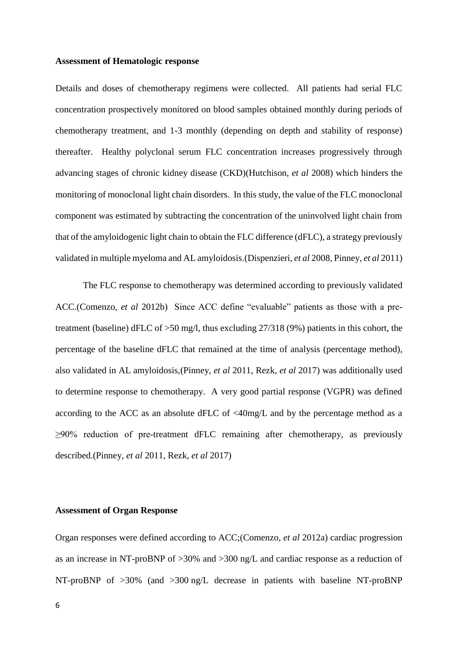#### **Assessment of Hematologic response**

Details and doses of chemotherapy regimens were collected. All patients had serial FLC concentration prospectively monitored on blood samples obtained monthly during periods of chemotherapy treatment, and 1-3 monthly (depending on depth and stability of response) thereafter. Healthy polyclonal serum FLC concentration increases progressively through advancing stages of chronic kidney disease (CKD)(Hutchison*, et al* 2008) which hinders the monitoring of monoclonal light chain disorders. In this study, the value of the FLC monoclonal component was estimated by subtracting the concentration of the uninvolved light chain from that of the amyloidogenic light chain to obtain the FLC difference (dFLC), a strategy previously validated in multiple myeloma and AL amyloidosis.(Dispenzieri*, et al* 2008, Pinney*, et al* 2011)

The FLC response to chemotherapy was determined according to previously validated ACC.(Comenzo*, et al* 2012b) Since ACC define "evaluable" patients as those with a pretreatment (baseline) dFLC of >50 mg/l, thus excluding 27/318 (9%) patients in this cohort, the percentage of the baseline dFLC that remained at the time of analysis (percentage method), also validated in AL amyloidosis,(Pinney*, et al* 2011, Rezk*, et al* 2017) was additionally used to determine response to chemotherapy. A very good partial response (VGPR) was defined according to the ACC as an absolute dFLC of <40mg/L and by the percentage method as a ≥90% reduction of pre-treatment dFLC remaining after chemotherapy, as previously described.(Pinney*, et al* 2011, Rezk*, et al* 2017)

## **Assessment of Organ Response**

Organ responses were defined according to ACC;(Comenzo*, et al* 2012a) cardiac progression as an increase in NT-proBNP of >30% and >300 ng/L and cardiac response as a reduction of NT-proBNP of >30% (and >300 ng/L decrease in patients with baseline NT-proBNP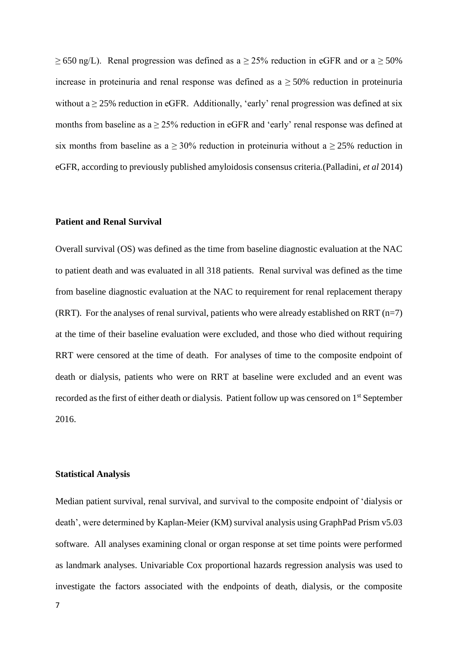$\geq$  650 ng/L). Renal progression was defined as a  $\geq$  25% reduction in eGFR and or a  $\geq$  50% increase in proteinuria and renal response was defined as  $a \geq 50\%$  reduction in proteinuria without a  $\geq$  25% reduction in eGFR. Additionally, 'early' renal progression was defined at six months from baseline as  $a \ge 25\%$  reduction in eGFR and 'early' renal response was defined at six months from baseline as a  $\geq$  30% reduction in proteinuria without a  $\geq$  25% reduction in eGFR, according to previously published amyloidosis consensus criteria.(Palladini*, et al* 2014)

#### **Patient and Renal Survival**

Overall survival (OS) was defined as the time from baseline diagnostic evaluation at the NAC to patient death and was evaluated in all 318 patients. Renal survival was defined as the time from baseline diagnostic evaluation at the NAC to requirement for renal replacement therapy (RRT). For the analyses of renal survival, patients who were already established on RRT  $(n=7)$ at the time of their baseline evaluation were excluded, and those who died without requiring RRT were censored at the time of death. For analyses of time to the composite endpoint of death or dialysis, patients who were on RRT at baseline were excluded and an event was recorded as the first of either death or dialysis. Patient follow up was censored on 1st September 2016.

#### **Statistical Analysis**

Median patient survival, renal survival, and survival to the composite endpoint of 'dialysis or death', were determined by Kaplan-Meier (KM) survival analysis using GraphPad Prism v5.03 software. All analyses examining clonal or organ response at set time points were performed as landmark analyses. Univariable Cox proportional hazards regression analysis was used to investigate the factors associated with the endpoints of death, dialysis, or the composite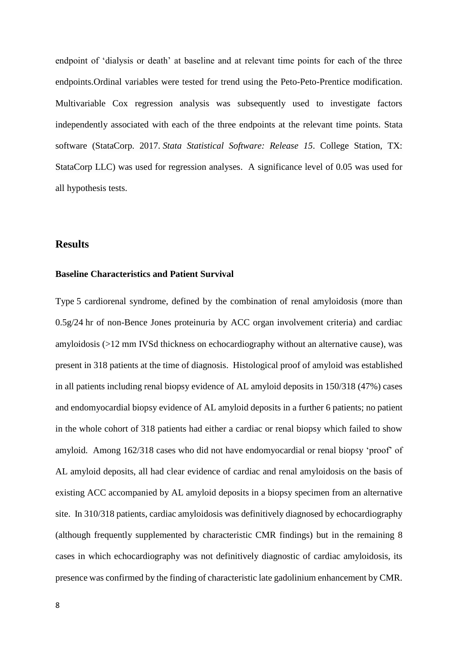endpoint of 'dialysis or death' at baseline and at relevant time points for each of the three endpoints.Ordinal variables were tested for trend using the Peto-Peto-Prentice modification. Multivariable Cox regression analysis was subsequently used to investigate factors independently associated with each of the three endpoints at the relevant time points. Stata software (StataCorp. 2017. *Stata Statistical Software: Release 15*. College Station, TX: StataCorp LLC) was used for regression analyses. A significance level of 0.05 was used for all hypothesis tests.

# **Results**

#### **Baseline Characteristics and Patient Survival**

Type 5 cardiorenal syndrome, defined by the combination of renal amyloidosis (more than 0.5g/24 hr of non-Bence Jones proteinuria by ACC organ involvement criteria) and cardiac amyloidosis (>12 mm IVSd thickness on echocardiography without an alternative cause), was present in 318 patients at the time of diagnosis. Histological proof of amyloid was established in all patients including renal biopsy evidence of AL amyloid deposits in 150/318 (47%) cases and endomyocardial biopsy evidence of AL amyloid deposits in a further 6 patients; no patient in the whole cohort of 318 patients had either a cardiac or renal biopsy which failed to show amyloid. Among 162/318 cases who did not have endomyocardial or renal biopsy 'proof' of AL amyloid deposits, all had clear evidence of cardiac and renal amyloidosis on the basis of existing ACC accompanied by AL amyloid deposits in a biopsy specimen from an alternative site. In 310/318 patients, cardiac amyloidosis was definitively diagnosed by echocardiography (although frequently supplemented by characteristic CMR findings) but in the remaining 8 cases in which echocardiography was not definitively diagnostic of cardiac amyloidosis, its presence was confirmed by the finding of characteristic late gadolinium enhancement by CMR.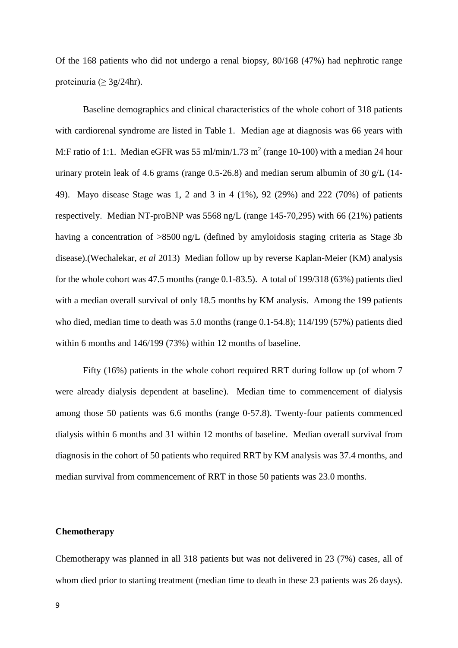Of the 168 patients who did not undergo a renal biopsy, 80/168 (47%) had nephrotic range proteinuria ( $\geq 3g/24$ hr).

Baseline demographics and clinical characteristics of the whole cohort of 318 patients with cardiorenal syndrome are listed in Table 1. Median age at diagnosis was 66 years with M:F ratio of 1:1. Median eGFR was 55 ml/min/1.73 m<sup>2</sup> (range 10-100) with a median 24 hour urinary protein leak of 4.6 grams (range 0.5-26.8) and median serum albumin of 30 g/L (14- 49). Mayo disease Stage was 1, 2 and 3 in 4 (1%), 92 (29%) and 222 (70%) of patients respectively. Median NT-proBNP was 5568 ng/L (range 145-70,295) with 66 (21%) patients having a concentration of >8500 ng/L (defined by amyloidosis staging criteria as Stage 3b) disease).(Wechalekar*, et al* 2013) Median follow up by reverse Kaplan-Meier (KM) analysis for the whole cohort was 47.5 months (range 0.1-83.5). A total of 199/318 (63%) patients died with a median overall survival of only 18.5 months by KM analysis. Among the 199 patients who died, median time to death was 5.0 months (range 0.1-54.8); 114/199 (57%) patients died within 6 months and 146/199 (73%) within 12 months of baseline.

Fifty (16%) patients in the whole cohort required RRT during follow up (of whom 7 were already dialysis dependent at baseline). Median time to commencement of dialysis among those 50 patients was 6.6 months (range 0-57.8). Twenty-four patients commenced dialysis within 6 months and 31 within 12 months of baseline. Median overall survival from diagnosis in the cohort of 50 patients who required RRT by KM analysis was 37.4 months, and median survival from commencement of RRT in those 50 patients was 23.0 months.

#### **Chemotherapy**

Chemotherapy was planned in all 318 patients but was not delivered in 23 (7%) cases, all of whom died prior to starting treatment (median time to death in these 23 patients was 26 days).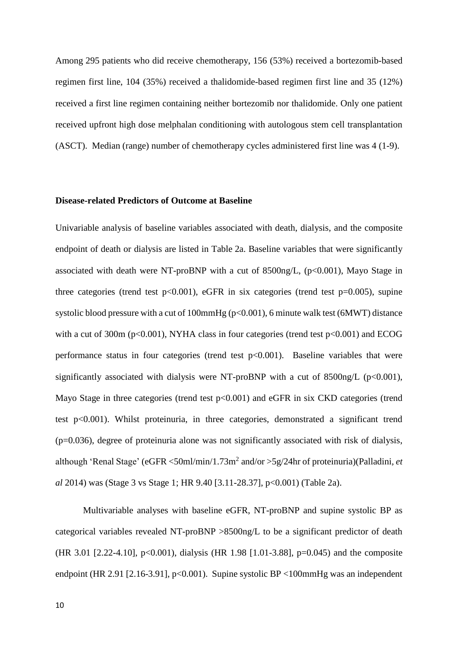Among 295 patients who did receive chemotherapy, 156 (53%) received a bortezomib-based regimen first line, 104 (35%) received a thalidomide-based regimen first line and 35 (12%) received a first line regimen containing neither bortezomib nor thalidomide. Only one patient received upfront high dose melphalan conditioning with autologous stem cell transplantation (ASCT). Median (range) number of chemotherapy cycles administered first line was 4 (1-9).

#### **Disease-related Predictors of Outcome at Baseline**

Univariable analysis of baseline variables associated with death, dialysis, and the composite endpoint of death or dialysis are listed in Table 2a. Baseline variables that were significantly associated with death were NT-proBNP with a cut of  $8500$ ng/L, (p<0.001), Mayo Stage in three categories (trend test  $p<0.001$ ), eGFR in six categories (trend test  $p=0.005$ ), supine systolic blood pressure with a cut of 100mmHg ( $p<0.001$ ), 6 minute walk test (6MWT) distance with a cut of 300m ( $p<0.001$ ), NYHA class in four categories (trend test  $p<0.001$ ) and ECOG performance status in four categories (trend test  $p<0.001$ ). Baseline variables that were significantly associated with dialysis were NT-proBNP with a cut of  $8500$ ng/L (p<0.001), Mayo Stage in three categories (trend test p<0.001) and eGFR in six CKD categories (trend test p<0.001). Whilst proteinuria, in three categories, demonstrated a significant trend  $(p=0.036)$ , degree of proteinuria alone was not significantly associated with risk of dialysis, although 'Renal Stage' (eGFR <50ml/min/1.73m<sup>2</sup> and/or >5g/24hr of proteinuria)(Palladini*, et al* 2014) was (Stage 3 vs Stage 1; HR 9.40 [3.11-28.37], p<0.001) (Table 2a).

Multivariable analyses with baseline eGFR, NT-proBNP and supine systolic BP as categorical variables revealed NT-proBNP >8500ng/L to be a significant predictor of death (HR 3.01 [2.22-4.10], p<0.001), dialysis (HR 1.98 [1.01-3.88], p=0.045) and the composite endpoint (HR 2.91 [2.16-3.91], p<0.001). Supine systolic BP <100mmHg was an independent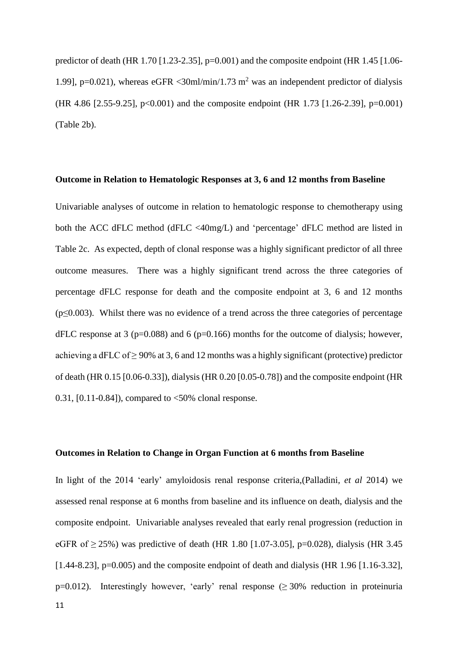predictor of death (HR 1.70 [1.23-2.35],  $p=0.001$ ) and the composite endpoint (HR 1.45 [1.06-1.991, p=0.021), whereas eGFR <30ml/min/1.73 m<sup>2</sup> was an independent predictor of dialysis (HR 4.86 [2.55-9.25], p<0.001) and the composite endpoint (HR 1.73 [1.26-2.39], p=0.001) (Table 2b).

#### **Outcome in Relation to Hematologic Responses at 3, 6 and 12 months from Baseline**

Univariable analyses of outcome in relation to hematologic response to chemotherapy using both the ACC dFLC method (dFLC <40mg/L) and 'percentage' dFLC method are listed in Table 2c. As expected, depth of clonal response was a highly significant predictor of all three outcome measures. There was a highly significant trend across the three categories of percentage dFLC response for death and the composite endpoint at 3, 6 and 12 months  $(p \le 0.003)$ . Whilst there was no evidence of a trend across the three categories of percentage dFLC response at 3 ( $p=0.088$ ) and 6 ( $p=0.166$ ) months for the outcome of dialysis; however, achieving a dFLC of  $\geq$  90% at 3, 6 and 12 months was a highly significant (protective) predictor of death (HR 0.15 [0.06-0.33]), dialysis (HR 0.20 [0.05-0.78]) and the composite endpoint (HR  $0.31$ ,  $[0.11-0.84]$ , compared to  $<50\%$  clonal response.

#### **Outcomes in Relation to Change in Organ Function at 6 months from Baseline**

In light of the 2014 'early' amyloidosis renal response criteria,(Palladini*, et al* 2014) we assessed renal response at 6 months from baseline and its influence on death, dialysis and the composite endpoint. Univariable analyses revealed that early renal progression (reduction in eGFR of  $> 25\%$ ) was predictive of death (HR 1.80 [1.07-3.05], p=0.028), dialysis (HR 3.45  $[1.44-8.23]$ ,  $p=0.005$ ) and the composite endpoint of death and dialysis (HR 1.96 [1.16-3.32], p=0.012). Interestingly however, 'early' renal response  $(≥ 30%$  reduction in proteinuria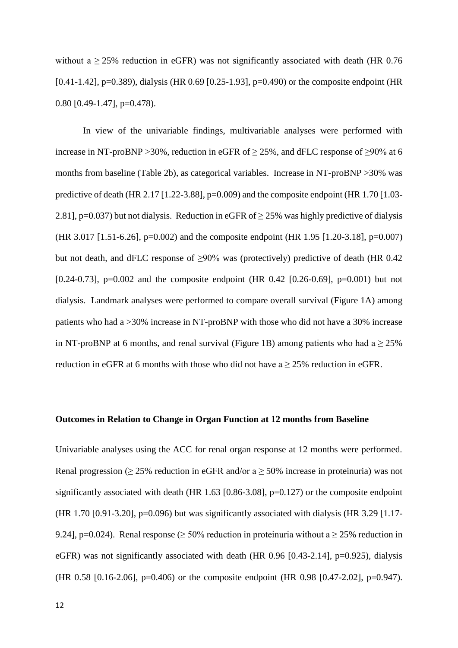without a  $\geq$  25% reduction in eGFR) was not significantly associated with death (HR 0.76 [0.41-1.42], p=0.389), dialysis (HR 0.69 [0.25-1.93], p=0.490) or the composite endpoint (HR 0.80  $[0.49-1.47]$ , p=0.478).

In view of the univariable findings, multivariable analyses were performed with increase in NT-proBNP > 30%, reduction in eGFR of  $\geq$  25%, and dFLC response of  $\geq$  90% at 6 months from baseline (Table 2b), as categorical variables. Increase in NT-proBNP >30% was predictive of death (HR 2.17 [1.22-3.88], p=0.009) and the composite endpoint (HR 1.70 [1.03-2.81], p=0.037) but not dialysis. Reduction in eGFR of ≥ 25% was highly predictive of dialysis (HR 3.017 [1.51-6.26], p=0.002) and the composite endpoint (HR 1.95 [1.20-3.18], p=0.007) but not death, and dFLC response of  $\geq 90\%$  was (protectively) predictive of death (HR 0.42 [0.24-0.73], p=0.002 and the composite endpoint (HR 0.42 [0.26-0.69], p=0.001) but not dialysis. Landmark analyses were performed to compare overall survival (Figure 1A) among patients who had a >30% increase in NT-proBNP with those who did not have a 30% increase in NT-proBNP at 6 months, and renal survival (Figure 1B) among patients who had a  $\geq$  25% reduction in eGFR at 6 months with those who did not have  $a \ge 25\%$  reduction in eGFR.

#### **Outcomes in Relation to Change in Organ Function at 12 months from Baseline**

Univariable analyses using the ACC for renal organ response at 12 months were performed. Renal progression ( $\geq$  25% reduction in eGFR and/or a  $\geq$  50% increase in proteinuria) was not significantly associated with death (HR  $1.63$  [0.86-3.08], p=0.127) or the composite endpoint (HR 1.70 [0.91-3.20], p=0.096) but was significantly associated with dialysis (HR 3.29 [1.17- 9.24], p=0.024). Renal response ( $> 50\%$  reduction in proteinuria without a  $> 25\%$  reduction in eGFR) was not significantly associated with death (HR 0.96 [0.43-2.14], p=0.925), dialysis (HR 0.58 [0.16-2.06], p=0.406) or the composite endpoint (HR 0.98 [0.47-2.02], p=0.947).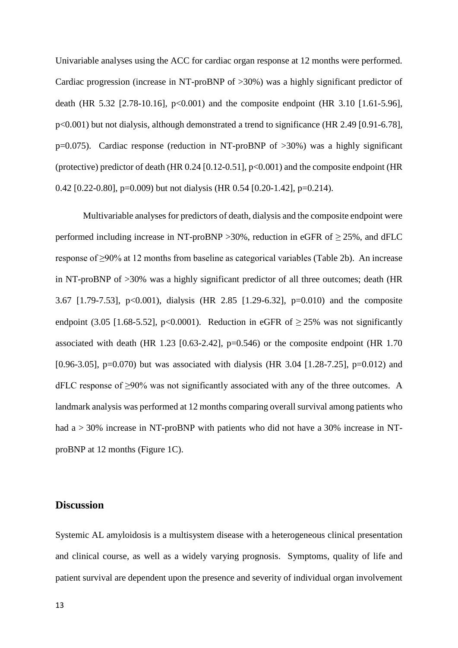Univariable analyses using the ACC for cardiac organ response at 12 months were performed. Cardiac progression (increase in NT-proBNP of >30%) was a highly significant predictor of death (HR 5.32 [2.78-10.16],  $p<0.001$ ) and the composite endpoint (HR 3.10 [1.61-5.96], p<0.001) but not dialysis, although demonstrated a trend to significance (HR 2.49 [0.91-6.78], p=0.075). Cardiac response (reduction in NT-proBNP of >30%) was a highly significant (protective) predictor of death (HR 0.24 [0.12-0.51], p<0.001) and the composite endpoint (HR 0.42 [0.22-0.80], p=0.009) but not dialysis (HR 0.54 [0.20-1.42], p=0.214).

Multivariable analyses for predictors of death, dialysis and the composite endpoint were performed including increase in NT-proBNP > 30%, reduction in eGFR of  $\geq$  25%, and dFLC response of ≥90% at 12 months from baseline as categorical variables (Table 2b). An increase in NT-proBNP of >30% was a highly significant predictor of all three outcomes; death (HR 3.67 [1.79-7.53], p<0.001), dialysis (HR 2.85 [1.29-6.32], p=0.010) and the composite endpoint (3.05 [1.68-5.52], p<0.0001). Reduction in eGFR of  $\geq$  25% was not significantly associated with death (HR 1.23 [0.63-2.42],  $p=0.546$ ) or the composite endpoint (HR 1.70 [0.96-3.05], p=0.070) but was associated with dialysis (HR 3.04 [1.28-7.25], p=0.012) and dFLC response of ≥90% was not significantly associated with any of the three outcomes. A landmark analysis was performed at 12 months comparing overall survival among patients who had a > 30% increase in NT-proBNP with patients who did not have a 30% increase in NTproBNP at 12 months (Figure 1C).

# **Discussion**

Systemic AL amyloidosis is a multisystem disease with a heterogeneous clinical presentation and clinical course, as well as a widely varying prognosis. Symptoms, quality of life and patient survival are dependent upon the presence and severity of individual organ involvement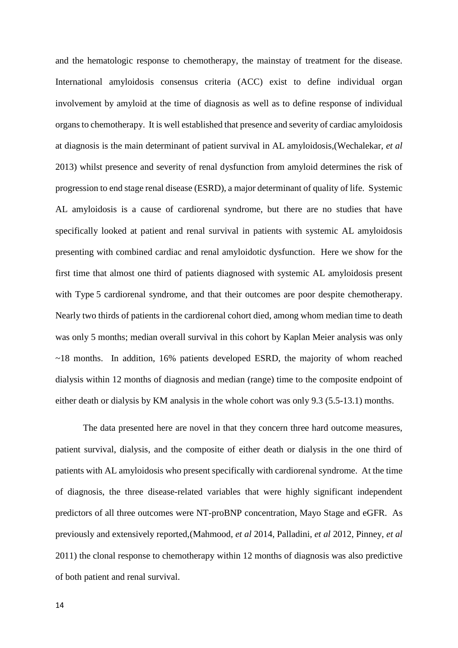and the hematologic response to chemotherapy, the mainstay of treatment for the disease. International amyloidosis consensus criteria (ACC) exist to define individual organ involvement by amyloid at the time of diagnosis as well as to define response of individual organs to chemotherapy. It is well established that presence and severity of cardiac amyloidosis at diagnosis is the main determinant of patient survival in AL amyloidosis,(Wechalekar*, et al* 2013) whilst presence and severity of renal dysfunction from amyloid determines the risk of progression to end stage renal disease (ESRD), a major determinant of quality of life. Systemic AL amyloidosis is a cause of cardiorenal syndrome, but there are no studies that have specifically looked at patient and renal survival in patients with systemic AL amyloidosis presenting with combined cardiac and renal amyloidotic dysfunction. Here we show for the first time that almost one third of patients diagnosed with systemic AL amyloidosis present with Type 5 cardiorenal syndrome, and that their outcomes are poor despite chemotherapy. Nearly two thirds of patients in the cardiorenal cohort died, among whom median time to death was only 5 months; median overall survival in this cohort by Kaplan Meier analysis was only ~18 months. In addition, 16% patients developed ESRD, the majority of whom reached dialysis within 12 months of diagnosis and median (range) time to the composite endpoint of either death or dialysis by KM analysis in the whole cohort was only 9.3 (5.5-13.1) months.

The data presented here are novel in that they concern three hard outcome measures, patient survival, dialysis, and the composite of either death or dialysis in the one third of patients with AL amyloidosis who present specifically with cardiorenal syndrome. At the time of diagnosis, the three disease-related variables that were highly significant independent predictors of all three outcomes were NT-proBNP concentration, Mayo Stage and eGFR. As previously and extensively reported,(Mahmood*, et al* 2014, Palladini*, et al* 2012, Pinney*, et al* 2011) the clonal response to chemotherapy within 12 months of diagnosis was also predictive of both patient and renal survival.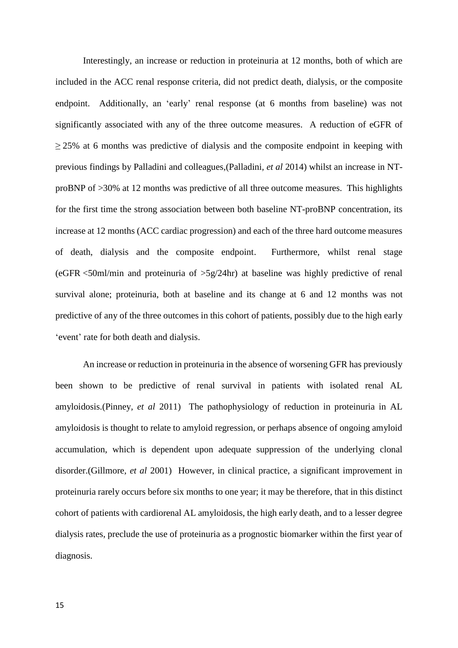Interestingly, an increase or reduction in proteinuria at 12 months, both of which are included in the ACC renal response criteria, did not predict death, dialysis, or the composite endpoint. Additionally, an 'early' renal response (at 6 months from baseline) was not significantly associated with any of the three outcome measures. A reduction of eGFR of  $\geq$  25% at 6 months was predictive of dialysis and the composite endpoint in keeping with previous findings by Palladini and colleagues,(Palladini*, et al* 2014) whilst an increase in NTproBNP of >30% at 12 months was predictive of all three outcome measures. This highlights for the first time the strong association between both baseline NT-proBNP concentration, its increase at 12 months (ACC cardiac progression) and each of the three hard outcome measures of death, dialysis and the composite endpoint. Furthermore, whilst renal stage (eGFR <50ml/min and proteinuria of >5g/24hr) at baseline was highly predictive of renal survival alone; proteinuria, both at baseline and its change at 6 and 12 months was not predictive of any of the three outcomes in this cohort of patients, possibly due to the high early 'event' rate for both death and dialysis.

An increase or reduction in proteinuria in the absence of worsening GFR has previously been shown to be predictive of renal survival in patients with isolated renal AL amyloidosis.(Pinney*, et al* 2011) The pathophysiology of reduction in proteinuria in AL amyloidosis is thought to relate to amyloid regression, or perhaps absence of ongoing amyloid accumulation, which is dependent upon adequate suppression of the underlying clonal disorder.(Gillmore*, et al* 2001) However, in clinical practice, a significant improvement in proteinuria rarely occurs before six months to one year; it may be therefore, that in this distinct cohort of patients with cardiorenal AL amyloidosis, the high early death, and to a lesser degree dialysis rates, preclude the use of proteinuria as a prognostic biomarker within the first year of diagnosis.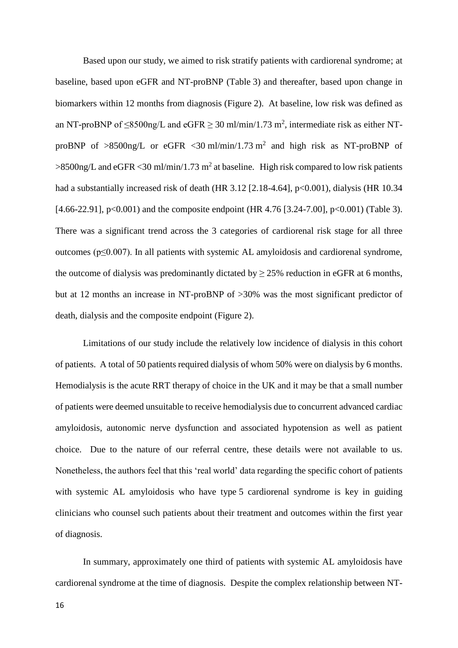Based upon our study, we aimed to risk stratify patients with cardiorenal syndrome; at baseline, based upon eGFR and NT-proBNP (Table 3) and thereafter, based upon change in biomarkers within 12 months from diagnosis (Figure 2). At baseline, low risk was defined as an NT-proBNP of  $\leq$ 8500ng/L and eGFR  $\geq$  30 ml/min/1.73 m<sup>2</sup>, intermediate risk as either NTproBNP of  $>8500$ ng/L or eGFR < 30 ml/min/1.73 m<sup>2</sup> and high risk as NT-proBNP of  $>8500$ ng/L and eGFR < 30 ml/min/1.73 m<sup>2</sup> at baseline. High risk compared to low risk patients had a substantially increased risk of death (HR 3.12 [2.18-4.64], p<0.001), dialysis (HR 10.34 [4.66-22.91], p<0.001) and the composite endpoint (HR 4.76 [3.24-7.00], p<0.001) (Table 3). There was a significant trend across the 3 categories of cardiorenal risk stage for all three outcomes (p≤0.007). In all patients with systemic AL amyloidosis and cardiorenal syndrome, the outcome of dialysis was predominantly dictated by  $\geq$  25% reduction in eGFR at 6 months, but at 12 months an increase in NT-proBNP of >30% was the most significant predictor of death, dialysis and the composite endpoint (Figure 2).

Limitations of our study include the relatively low incidence of dialysis in this cohort of patients. A total of 50 patients required dialysis of whom 50% were on dialysis by 6 months. Hemodialysis is the acute RRT therapy of choice in the UK and it may be that a small number of patients were deemed unsuitable to receive hemodialysis due to concurrent advanced cardiac amyloidosis, autonomic nerve dysfunction and associated hypotension as well as patient choice. Due to the nature of our referral centre, these details were not available to us. Nonetheless, the authors feel that this 'real world' data regarding the specific cohort of patients with systemic AL amyloidosis who have type 5 cardiorenal syndrome is key in guiding clinicians who counsel such patients about their treatment and outcomes within the first year of diagnosis.

In summary, approximately one third of patients with systemic AL amyloidosis have cardiorenal syndrome at the time of diagnosis. Despite the complex relationship between NT-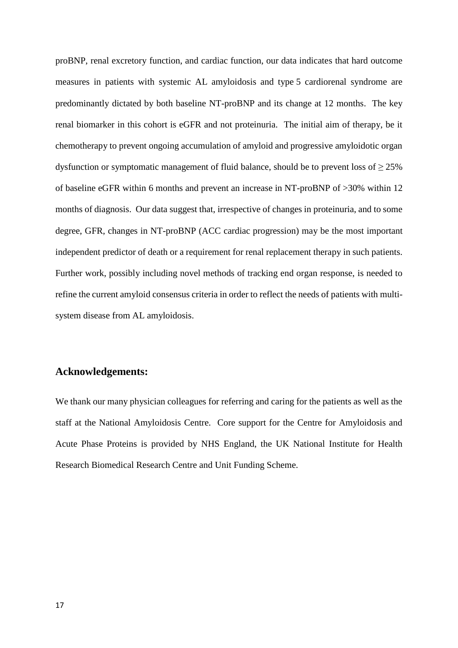proBNP, renal excretory function, and cardiac function, our data indicates that hard outcome measures in patients with systemic AL amyloidosis and type 5 cardiorenal syndrome are predominantly dictated by both baseline NT-proBNP and its change at 12 months. The key renal biomarker in this cohort is eGFR and not proteinuria. The initial aim of therapy, be it chemotherapy to prevent ongoing accumulation of amyloid and progressive amyloidotic organ dysfunction or symptomatic management of fluid balance, should be to prevent loss of  $\geq$  25% of baseline eGFR within 6 months and prevent an increase in NT-proBNP of >30% within 12 months of diagnosis. Our data suggest that, irrespective of changes in proteinuria, and to some degree, GFR, changes in NT-proBNP (ACC cardiac progression) may be the most important independent predictor of death or a requirement for renal replacement therapy in such patients. Further work, possibly including novel methods of tracking end organ response, is needed to refine the current amyloid consensus criteria in order to reflect the needs of patients with multisystem disease from AL amyloidosis.

# **Acknowledgements:**

We thank our many physician colleagues for referring and caring for the patients as well as the staff at the National Amyloidosis Centre. Core support for the Centre for Amyloidosis and Acute Phase Proteins is provided by NHS England, the UK National Institute for Health Research Biomedical Research Centre and Unit Funding Scheme.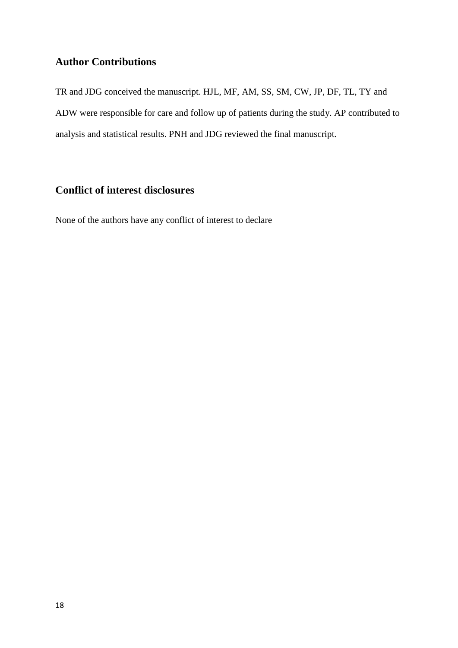# **Author Contributions**

TR and JDG conceived the manuscript. HJL, MF, AM, SS, SM, CW, JP, DF, TL, TY and ADW were responsible for care and follow up of patients during the study. AP contributed to analysis and statistical results. PNH and JDG reviewed the final manuscript.

# **Conflict of interest disclosures**

None of the authors have any conflict of interest to declare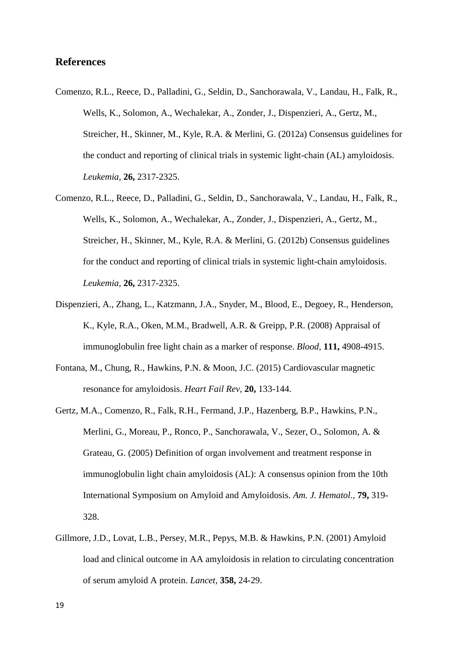# **References**

- Comenzo, R.L., Reece, D., Palladini, G., Seldin, D., Sanchorawala, V., Landau, H., Falk, R., Wells, K., Solomon, A., Wechalekar, A., Zonder, J., Dispenzieri, A., Gertz, M., Streicher, H., Skinner, M., Kyle, R.A. & Merlini, G. (2012a) Consensus guidelines for the conduct and reporting of clinical trials in systemic light-chain (AL) amyloidosis. *Leukemia,* **26,** 2317-2325.
- Comenzo, R.L., Reece, D., Palladini, G., Seldin, D., Sanchorawala, V., Landau, H., Falk, R., Wells, K., Solomon, A., Wechalekar, A., Zonder, J., Dispenzieri, A., Gertz, M., Streicher, H., Skinner, M., Kyle, R.A. & Merlini, G. (2012b) Consensus guidelines for the conduct and reporting of clinical trials in systemic light-chain amyloidosis. *Leukemia,* **26,** 2317-2325.
- Dispenzieri, A., Zhang, L., Katzmann, J.A., Snyder, M., Blood, E., Degoey, R., Henderson, K., Kyle, R.A., Oken, M.M., Bradwell, A.R. & Greipp, P.R. (2008) Appraisal of immunoglobulin free light chain as a marker of response. *Blood,* **111,** 4908-4915.
- Fontana, M., Chung, R., Hawkins, P.N. & Moon, J.C. (2015) Cardiovascular magnetic resonance for amyloidosis. *Heart Fail Rev,* **20,** 133-144.
- Gertz, M.A., Comenzo, R., Falk, R.H., Fermand, J.P., Hazenberg, B.P., Hawkins, P.N., Merlini, G., Moreau, P., Ronco, P., Sanchorawala, V., Sezer, O., Solomon, A. & Grateau, G. (2005) Definition of organ involvement and treatment response in immunoglobulin light chain amyloidosis (AL): A consensus opinion from the 10th International Symposium on Amyloid and Amyloidosis. *Am. J. Hematol.,* **79,** 319- 328.
- Gillmore, J.D., Lovat, L.B., Persey, M.R., Pepys, M.B. & Hawkins, P.N. (2001) Amyloid load and clinical outcome in AA amyloidosis in relation to circulating concentration of serum amyloid A protein. *Lancet,* **358,** 24-29.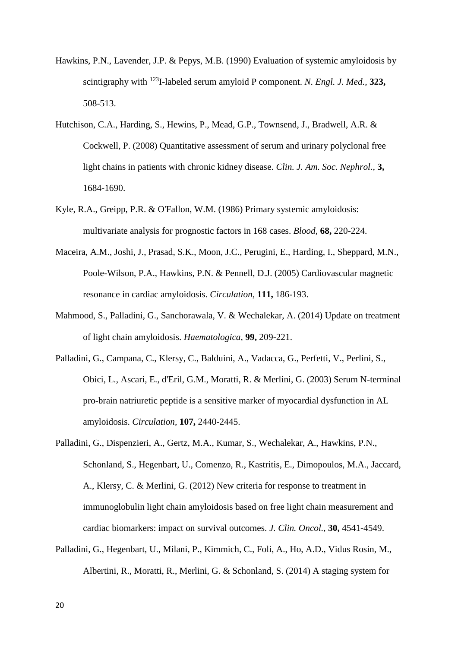- Hawkins, P.N., Lavender, J.P. & Pepys, M.B. (1990) Evaluation of systemic amyloidosis by scintigraphy with <sup>123</sup>I-labeled serum amyloid P component. *N. Engl. J. Med.,* **323,**  508-513.
- Hutchison, C.A., Harding, S., Hewins, P., Mead, G.P., Townsend, J., Bradwell, A.R. & Cockwell, P. (2008) Quantitative assessment of serum and urinary polyclonal free light chains in patients with chronic kidney disease. *Clin. J. Am. Soc. Nephrol.,* **3,**  1684-1690.
- Kyle, R.A., Greipp, P.R. & O'Fallon, W.M. (1986) Primary systemic amyloidosis: multivariate analysis for prognostic factors in 168 cases. *Blood,* **68,** 220-224.
- Maceira, A.M., Joshi, J., Prasad, S.K., Moon, J.C., Perugini, E., Harding, I., Sheppard, M.N., Poole-Wilson, P.A., Hawkins, P.N. & Pennell, D.J. (2005) Cardiovascular magnetic resonance in cardiac amyloidosis. *Circulation,* **111,** 186-193.
- Mahmood, S., Palladini, G., Sanchorawala, V. & Wechalekar, A. (2014) Update on treatment of light chain amyloidosis. *Haematologica,* **99,** 209-221.
- Palladini, G., Campana, C., Klersy, C., Balduini, A., Vadacca, G., Perfetti, V., Perlini, S., Obici, L., Ascari, E., d'Eril, G.M., Moratti, R. & Merlini, G. (2003) Serum N-terminal pro-brain natriuretic peptide is a sensitive marker of myocardial dysfunction in AL amyloidosis. *Circulation,* **107,** 2440-2445.
- Palladini, G., Dispenzieri, A., Gertz, M.A., Kumar, S., Wechalekar, A., Hawkins, P.N., Schonland, S., Hegenbart, U., Comenzo, R., Kastritis, E., Dimopoulos, M.A., Jaccard, A., Klersy, C. & Merlini, G. (2012) New criteria for response to treatment in immunoglobulin light chain amyloidosis based on free light chain measurement and cardiac biomarkers: impact on survival outcomes. *J. Clin. Oncol.,* **30,** 4541-4549.
- Palladini, G., Hegenbart, U., Milani, P., Kimmich, C., Foli, A., Ho, A.D., Vidus Rosin, M., Albertini, R., Moratti, R., Merlini, G. & Schonland, S. (2014) A staging system for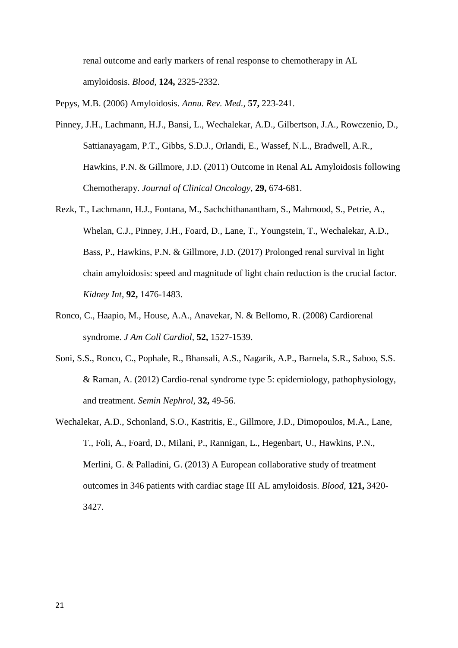renal outcome and early markers of renal response to chemotherapy in AL amyloidosis. *Blood,* **124,** 2325-2332.

Pepys, M.B. (2006) Amyloidosis. *Annu. Rev. Med.,* **57,** 223-241.

- Pinney, J.H., Lachmann, H.J., Bansi, L., Wechalekar, A.D., Gilbertson, J.A., Rowczenio, D., Sattianayagam, P.T., Gibbs, S.D.J., Orlandi, E., Wassef, N.L., Bradwell, A.R., Hawkins, P.N. & Gillmore, J.D. (2011) Outcome in Renal AL Amyloidosis following Chemotherapy. *Journal of Clinical Oncology,* **29,** 674-681.
- Rezk, T., Lachmann, H.J., Fontana, M., Sachchithanantham, S., Mahmood, S., Petrie, A., Whelan, C.J., Pinney, J.H., Foard, D., Lane, T., Youngstein, T., Wechalekar, A.D., Bass, P., Hawkins, P.N. & Gillmore, J.D. (2017) Prolonged renal survival in light chain amyloidosis: speed and magnitude of light chain reduction is the crucial factor. *Kidney Int,* **92,** 1476-1483.
- Ronco, C., Haapio, M., House, A.A., Anavekar, N. & Bellomo, R. (2008) Cardiorenal syndrome. *J Am Coll Cardiol,* **52,** 1527-1539.
- Soni, S.S., Ronco, C., Pophale, R., Bhansali, A.S., Nagarik, A.P., Barnela, S.R., Saboo, S.S. & Raman, A. (2012) Cardio-renal syndrome type 5: epidemiology, pathophysiology, and treatment. *Semin Nephrol,* **32,** 49-56.
- Wechalekar, A.D., Schonland, S.O., Kastritis, E., Gillmore, J.D., Dimopoulos, M.A., Lane, T., Foli, A., Foard, D., Milani, P., Rannigan, L., Hegenbart, U., Hawkins, P.N., Merlini, G. & Palladini, G. (2013) A European collaborative study of treatment outcomes in 346 patients with cardiac stage III AL amyloidosis. *Blood,* **121,** 3420- 3427.